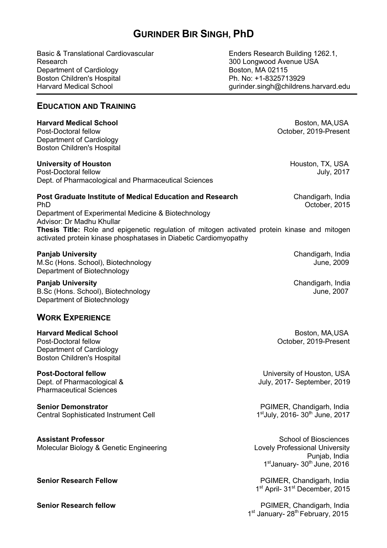# **GURINDER BIR SINGH, PhD**

Basic & Translational Cardiovascular Research Department of Cardiology Boston Children's Hospital Harvard Medical School

Enders Research Building 1262.1, 300 Longwood Avenue USA Boston, MA 02115 Ph. No: +1-8325713929 gurinder.singh@childrens.harvard.edu

# **EDUCATION AND TRAINING**

#### **Harvard Medical School**  Boston, MA,USA

Post-Doctoral fellow October, 2019-Present Department of Cardiology Boston Children's Hospital

#### **University of Houston** Houston, TX, USA

Post-Doctoral fellow July, 2017 Dept. of Pharmacological and Pharmaceutical Sciences

# **Post Graduate Institute of Medical Education and Research <b>Chandigary**, Chandigarh, India PhD October, 2015

Department of Experimental Medicine & Biotechnology Advisor: Dr Madhu Khullar **Thesis Title:** Role and epigenetic regulation of mitogen activated protein kinase and mitogen activated protein kinase phosphatases in Diabetic Cardiomyopathy

#### **Panjab University** Chandigarh, India

M.Sc (Hons. School), Biotechnology and the state of the state of the state of the state of the state of the state of the state of the state of the state of the state of the state of the state of the state of the state of t Department of Biotechnology

**Panjab University** Chandigarh, India B.Sc (Hons. School), Biotechnology June, 2007 Department of Biotechnology

## **WORK EXPERIENCE**

**Harvard Medical School**  Boston, MA,USA Post-Doctoral fellow October, 2019-Present Department of Cardiology Boston Children's Hospital

Pharmaceutical Sciences

**Senior Demonstrator PGIMER, Chandigarh, India** Central Sophisticated Instrument Cell 1st 1st July, 2016- 30<sup>th</sup> June, 2017

**Assistant Professor School of Biosciences School of Biosciences School of Biosciences** Molecular Biology & Genetic Engineering Lovely Professional University

**Post-Doctoral fellow Post-Doctoral fellow University of Houston, USA** Dept. of Pharmacological & July, 2017- September, 2019

 Punjab, India 1<sup>st</sup>January- 30<sup>th</sup> June, 2016

**Senior Research Fellow Community Community Community PGIMER, Chandigarh, India** 1<sup>st</sup> April- 31<sup>st</sup> December, 2015

**Senior Research fellow Contract Contract Contract Contract Contract PGIMER, Chandigarh, India** 1<sup>st</sup> January- 28<sup>th</sup> February, 2015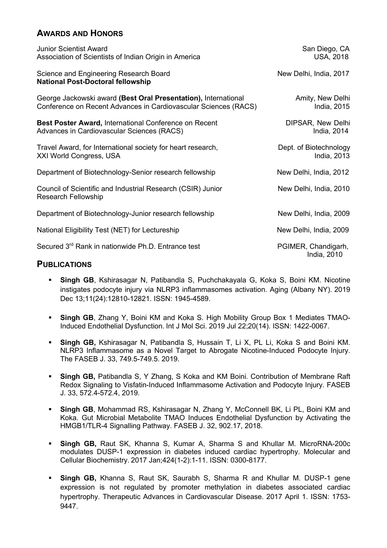# **AWARDS AND HONORS**

| <b>Junior Scientist Award</b><br>Association of Scientists of Indian Origin in America                                            | San Diego, CA<br><b>USA, 2018</b>     |
|-----------------------------------------------------------------------------------------------------------------------------------|---------------------------------------|
| Science and Engineering Research Board<br><b>National Post-Doctoral fellowship</b>                                                | New Delhi, India, 2017                |
| George Jackowski award (Best Oral Presentation), International<br>Conference on Recent Advances in Cardiovascular Sciences (RACS) | Amity, New Delhi<br>India, 2015       |
| Best Poster Award, International Conference on Recent<br>Advances in Cardiovascular Sciences (RACS)                               | DIPSAR, New Delhi<br>India, 2014      |
| Travel Award, for International society for heart research,<br><b>XXI World Congress, USA</b>                                     | Dept. of Biotechnology<br>India, 2013 |
| Department of Biotechnology-Senior research fellowship                                                                            | New Delhi, India, 2012                |
| Council of Scientific and Industrial Research (CSIR) Junior<br><b>Research Fellowship</b>                                         | New Delhi, India, 2010                |
| Department of Biotechnology-Junior research fellowship                                                                            | New Delhi, India, 2009                |
| National Eligibility Test (NET) for Lectureship                                                                                   | New Delhi, India, 2009                |
| Secured 3 <sup>rd</sup> Rank in nationwide Ph.D. Entrance test                                                                    | PGIMER, Chandigarh,<br>India, 2010    |

## **PUBLICATIONS**

- § **Singh GB**, Kshirasagar N, Patibandla S, Puchchakayala G, Koka S, Boini KM. Nicotine instigates podocyte injury via NLRP3 inflammasomes activation. Aging (Albany NY). 2019 Dec 13;11(24):12810-12821. ISSN: 1945-4589.
- § **Singh GB**, Zhang Y, Boini KM and Koka S. High Mobility Group Box 1 Mediates TMAO-Induced Endothelial Dysfunction. Int J Mol Sci. 2019 Jul 22;20(14). ISSN: 1422-0067.
- § **Singh GB,** Kshirasagar N, Patibandla S, Hussain T, Li X, PL Li, Koka S and Boini KM. NLRP3 Inflammasome as a Novel Target to Abrogate Nicotine-Induced Podocyte Injury. The FASEB J. 33, 749.5-749.5. 2019.
- **Singh GB, Patibandla S, Y Zhang, S Koka and KM Boini. Contribution of Membrane Raft** Redox Signaling to Visfatin-Induced Inflammasome Activation and Podocyte Injury. FASEB J. 33, 572.4-572.4, 2019.
- § **Singh GB**, Mohammad RS, Kshirasagar N, Zhang Y, McConnell BK, Li PL, Boini KM and Koka. Gut Microbial Metabolite TMAO Induces Endothelial Dysfunction by Activating the HMGB1/TLR-4 Signalling Pathway. FASEB J. 32, 902.17, 2018.
- § **Singh GB,** Raut SK, Khanna S, Kumar A, Sharma S and Khullar M. MicroRNA-200c modulates DUSP-1 expression in diabetes induced cardiac hypertrophy. Molecular and Cellular Biochemistry. 2017 Jan;424(1-2):1-11. ISSN: 0300-8177.
- § **Singh GB,** Khanna S, Raut SK, Saurabh S, Sharma R and Khullar M. DUSP-1 gene expression is not regulated by promoter methylation in diabetes associated cardiac hypertrophy. Therapeutic Advances in Cardiovascular Disease. 2017 April 1. ISSN: 1753- 9447.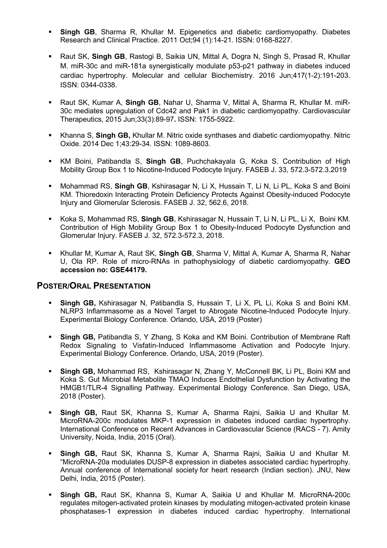- § **Singh GB**, Sharma R, Khullar M. Epigenetics and diabetic cardiomyopathy. Diabetes Research and Clinical Practice. 2011 Oct;94 (1):14-21. ISSN: 0168-8227.
- § Raut SK, **Singh GB**, Rastogi B, Saikia UN, Mittal A, Dogra N, Singh S, Prasad R, Khullar M. miR-30c and miR-181a synergistically modulate p53-p21 pathway in diabetes induced cardiac hypertrophy. Molecular and cellular Biochemistry. 2016 Jun;417(1-2):191-203. ISSN: 0344-0338.
- § Raut SK, Kumar A, **Singh GB**, Nahar U, Sharma V, Mittal A, Sharma R, Khullar M. miR-30c mediates upregulation of Cdc42 and Pak1 in diabetic cardiomyopathy. Cardiovascular Therapeutics, 2015 Jun;33(3):89-97**.** ISSN: 1755-5922.
- § Khanna S, **Singh GB,** Khullar M. Nitric oxide synthases and diabetic cardiomyopathy. Nitric Oxide. 2014 Dec 1;43:29-34. ISSN: 1089-8603.
- § KM Boini, Patibandla S, **Singh GB**, Puchchakayala G, Koka S. Contribution of High Mobility Group Box 1 to Nicotine-Induced Podocyte Injury. FASEB J. 33, 572.3-572.3.2019
- § Mohammad RS, **Singh GB**, Kshirasagar N, Li X, Hussain T, Li N, Li PL, Koka S and Boini KM. Thioredoxin Interacting Protein Deficiency Protects Against Obesity-induced Podocyte Injury and Glomerular Sclerosis. FASEB J. 32, 562.6, 2018.
- § Koka S, Mohammad RS, **Singh GB**, Kshirasagar N, Hussain T, Li N, Li PL, Li X, Boini KM. Contribution of High Mobility Group Box 1 to Obesity-Induced Podocyte Dysfunction and Glomerular Injury. FASEB J. 32, 572.3-572.3, 2018.
- § Khullar M, Kumar A, Raut SK, **Singh GB**, Sharma V, Mittal A, Kumar A, Sharma R, Nahar U, Ola RP. Role of micro-RNAs in pathophysiology of diabetic cardiomyopathy. **GEO accession no: GSE44179.**

## **POSTER/ORAL PRESENTATION**

- § **Singh GB,** Kshirasagar N, Patibandla S, Hussain T, Li X, PL Li, Koka S and Boini KM. NLRP3 Inflammasome as a Novel Target to Abrogate Nicotine-Induced Podocyte Injury. Experimental Biology Conference. Orlando, USA, 2019 (Poster)
- **Singh GB, Patibandla S, Y Zhang, S Koka and KM Boini. Contribution of Membrane Raft** Redox Signaling to Visfatin-Induced Inflammasome Activation and Podocyte Injury. Experimental Biology Conference. Orlando, USA, 2019 (Poster).
- § **Singh GB,** Mohammad RS, Kshirasagar N, Zhang Y, McConnell BK, Li PL, Boini KM and Koka S. Gut Microbial Metabolite TMAO Induces Endothelial Dysfunction by Activating the HMGB1/TLR-4 Signalling Pathway. Experimental Biology Conference. San Diego, USA, 2018 (Poster).
- § **Singh GB,** Raut SK, Khanna S, Kumar A, Sharma Rajni, Saikia U and Khullar M. MicroRNA-200c modulates MKP-1 expression in diabetes induced cardiac hypertrophy. International Conference on Recent Advances in Cardiovascular Science (RACS - 7). Amity University, Noida, India, 2015 (Oral).
- § **Singh GB,** Raut SK, Khanna S, Kumar A, Sharma Rajni, Saikia U and Khullar M. "MicroRNA-20a modulates DUSP-8 expression in diabetes associated cardiac hypertrophy. Annual conference of International society for heart research (Indian section). JNU, New Delhi, India, 2015 (Poster).
- § **Singh GB,** Raut SK, Khanna S, Kumar A, Saikia U and Khullar M. MicroRNA-200c regulates mitogen-activated protein kinases by modulating mitogen-activated protein kinase phosphatases-1 expression in diabetes induced cardiac hypertrophy. International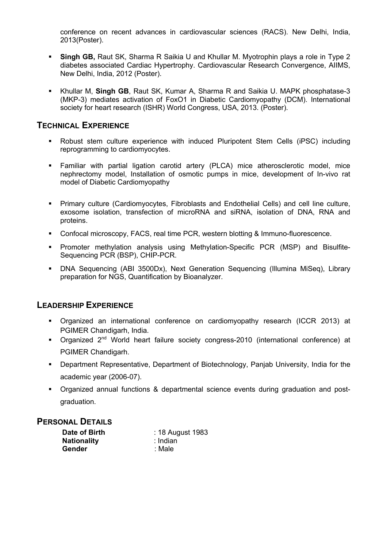conference on recent advances in cardiovascular sciences (RACS). New Delhi, India, 2013(Poster).

- § **Singh GB,** Raut SK, Sharma R Saikia U and Khullar M. Myotrophin plays a role in Type 2 diabetes associated Cardiac Hypertrophy. Cardiovascular Research Convergence, AIIMS, New Delhi, India, 2012 (Poster).
- § Khullar M, **Singh GB**, Raut SK, Kumar A, Sharma R and Saikia U. MAPK phosphatase-3 (MKP-3) mediates activation of FoxO1 in Diabetic Cardiomyopathy (DCM). International society for heart research (ISHR) World Congress, USA, 2013. (Poster).

# **TECHNICAL EXPERIENCE**

- § Robust stem culture experience with induced Pluripotent Stem Cells (iPSC) including reprogramming to cardiomyocytes.
- § Familiar with partial ligation carotid artery (PLCA) mice atherosclerotic model, mice nephrectomy model, Installation of osmotic pumps in mice, development of In-vivo rat model of Diabetic Cardiomyopathy
- § Primary culture (Cardiomyocytes, Fibroblasts and Endothelial Cells) and cell line culture, exosome isolation, transfection of microRNA and siRNA, isolation of DNA, RNA and proteins.
- Confocal microscopy, FACS, real time PCR, western blotting & Immuno-fluorescence.
- § Promoter methylation analysis using Methylation-Specific PCR (MSP) and Bisulfite-Sequencing PCR (BSP), CHIP-PCR.
- § DNA Sequencing (ABI 3500Dx), Next Generation Sequencing (Illumina MiSeq), Library preparation for NGS, Quantification by Bioanalyzer.

## **LEADERSHIP EXPERIENCE**

- § Organized an international conference on cardiomyopathy research (ICCR 2013) at PGIMER Chandigarh, India.
- Organized 2<sup>nd</sup> World heart failure society congress-2010 (international conference) at PGIMER Chandigarh.
- § Department Representative, Department of Biotechnology, Panjab University, India for the academic year (2006-07).
- § Organized annual functions & departmental science events during graduation and postgraduation.

#### **PERSONAL DETAILS**

| Date of Birth      | : 18 August 1983 |
|--------------------|------------------|
| <b>Nationality</b> | ∴ Indian         |
| Gender             | :Male:           |